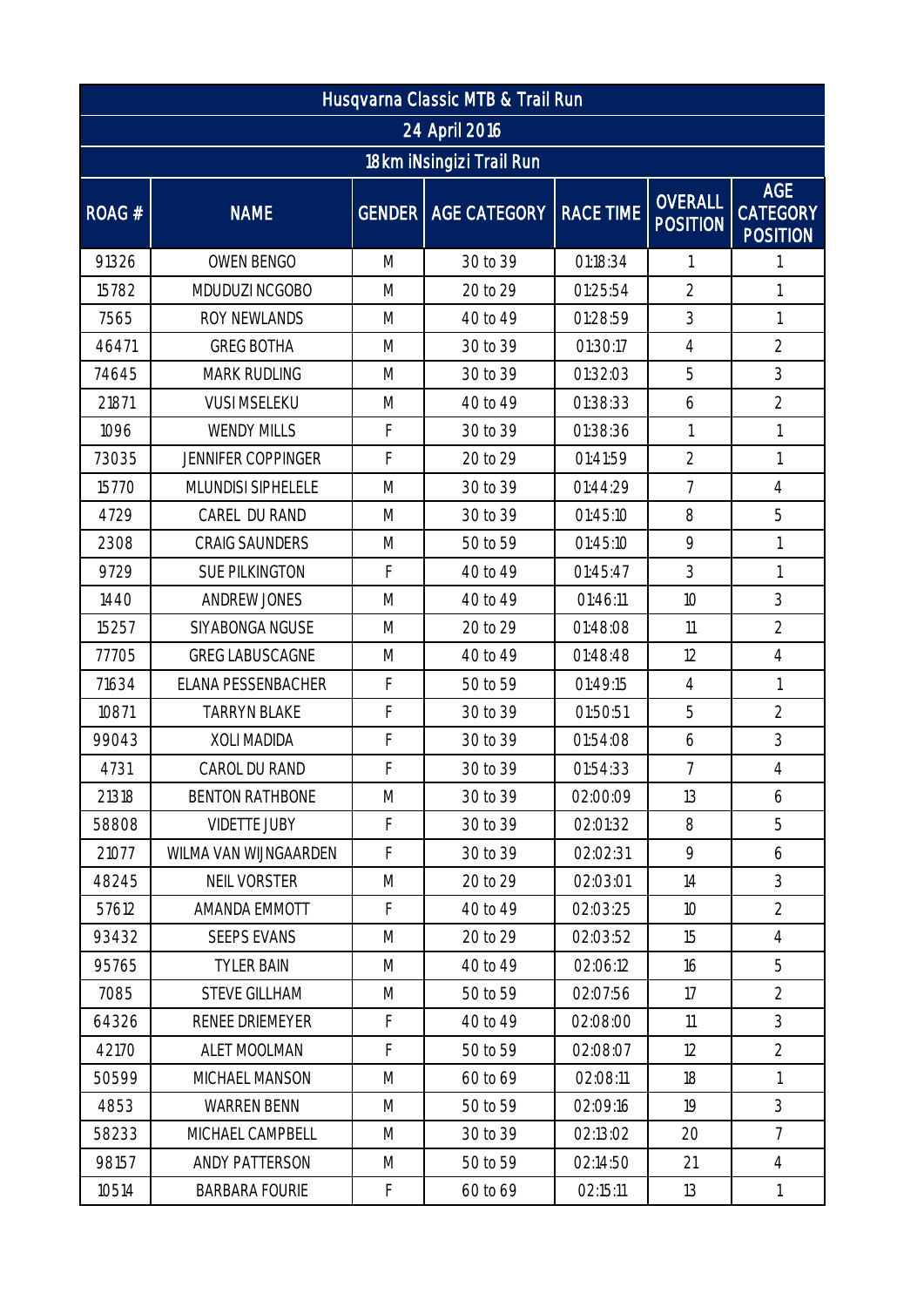| Husqvarna Classic MTB & Trail Run |                           |   |                                   |          |                                   |                                                  |  |  |  |  |  |
|-----------------------------------|---------------------------|---|-----------------------------------|----------|-----------------------------------|--------------------------------------------------|--|--|--|--|--|
| 24 April 2016                     |                           |   |                                   |          |                                   |                                                  |  |  |  |  |  |
| 18km iNsingizi Trail Run          |                           |   |                                   |          |                                   |                                                  |  |  |  |  |  |
| ROAG #                            | <b>NAME</b>               |   | GENDER   AGE CATEGORY   RACE TIME |          | <b>OVERALL</b><br><b>POSITION</b> | <b>AGE</b><br><b>CATEGORY</b><br><b>POSITION</b> |  |  |  |  |  |
| 91326                             | OWEN BENGO                | M | 30 to 39                          | 01:18:34 | 1                                 | 1                                                |  |  |  |  |  |
| 15782                             | MDUDUZI NCGOBO            | M | 20 to 29                          | 01:25:54 | $\overline{2}$                    | $\mathbf{1}$                                     |  |  |  |  |  |
| 7565                              | ROY NEWLANDS              | M | 40 to 49                          | 01:28:59 | 3                                 | $\mathbf{1}$                                     |  |  |  |  |  |
| 46471                             | <b>GREG BOTHA</b>         | M | 30 to 39                          | 01:30:17 | $\overline{4}$                    | $\overline{2}$                                   |  |  |  |  |  |
| 74645                             | <b>MARK RUDLING</b>       | M | 30 to 39                          | 01:32:03 | 5                                 | 3                                                |  |  |  |  |  |
| 21871                             | <b>VUSI MSELEKU</b>       | M | 40 to 49                          | 01:38:33 | 6                                 | $\overline{2}$                                   |  |  |  |  |  |
| 1096                              | <b>WENDY MILLS</b>        | F | 30 to 39                          | 01:38:36 | 1                                 | 1                                                |  |  |  |  |  |
| 73035                             | <b>JENNIFER COPPINGER</b> | F | 20 to 29                          | 01:41:59 | $\overline{2}$                    | 1                                                |  |  |  |  |  |
| 15770                             | MLUNDISI SIPHELELE        | M | 30 to 39                          | 01:44:29 | $\overline{7}$                    | $\overline{4}$                                   |  |  |  |  |  |
| 4729                              | CAREL DU RAND             | M | 30 to 39                          | 01:45:10 | 8                                 | 5                                                |  |  |  |  |  |
| 2308                              | <b>CRAIG SAUNDERS</b>     | M | 50 to 59                          | 01:45:10 | 9                                 | 1                                                |  |  |  |  |  |
| 9729                              | <b>SUE PILKINGTON</b>     | F | 40 to 49                          | 01:45:47 | 3                                 | 1                                                |  |  |  |  |  |
| 1440                              | ANDREW JONES              | M | 40 to 49                          | 01:46:11 | 10                                | 3                                                |  |  |  |  |  |
| 15257                             | SIYABONGA NGUSE           | M | 20 to 29                          | 01:48:08 | 11                                | $\overline{2}$                                   |  |  |  |  |  |
| 77705                             | <b>GREG LABUSCAGNE</b>    | M | 40 to 49                          | 01:48:48 | 12                                | $\overline{4}$                                   |  |  |  |  |  |
| 71634                             | ELANA PESSENBACHER        | F | 50 to 59                          | 01:49:15 | $\overline{4}$                    | 1                                                |  |  |  |  |  |
| 10871                             | <b>TARRYN BLAKE</b>       | F | 30 to 39                          | 01:50:51 | 5                                 | $\overline{2}$                                   |  |  |  |  |  |
| 99043                             | <b>XOLI MADIDA</b>        | F | 30 to 39                          | 01:54:08 | 6                                 | 3                                                |  |  |  |  |  |
| 4731                              | CAROL DU RAND             | F | 30 to 39                          | 01:54:33 | $\overline{7}$                    | $\overline{4}$                                   |  |  |  |  |  |
| 21318                             | <b>BENTON RATHBONE</b>    | M | 30 to 39                          | 02:00:09 | 13                                | 6                                                |  |  |  |  |  |
| 58808                             | <b>VIDETTE JUBY</b>       | F | 30 to 39                          | 02:01:32 | 8                                 | 5                                                |  |  |  |  |  |
| 21077                             | WILMA VAN WIJNGAARDEN     | F | 30 to 39                          | 02:02:31 | 9                                 | 6                                                |  |  |  |  |  |
| 48245                             | NEIL VORSTER              | M | 20 to 29                          | 02:03:01 | 14                                | 3                                                |  |  |  |  |  |
| 57612                             | AMANDA EMMOTT             | F | 40 to 49                          | 02:03:25 | 10                                | $\overline{2}$                                   |  |  |  |  |  |
| 93432                             | <b>SEEPS EVANS</b>        | M | 20 to 29                          | 02:03:52 | 15                                | $\overline{4}$                                   |  |  |  |  |  |
| 95765                             | <b>TYLER BAIN</b>         | M | 40 to 49                          | 02:06:12 | 16                                | 5                                                |  |  |  |  |  |
| 7085                              | <b>STEVE GILLHAM</b>      | M | 50 to 59                          | 02:07:56 | 17                                | $\overline{2}$                                   |  |  |  |  |  |
| 64326                             | RENEE DRIEMEYER           | F | 40 to 49                          | 02:08:00 | 11                                | 3                                                |  |  |  |  |  |
| 42170                             | ALET MOOLMAN              | F | 50 to 59                          | 02:08:07 | 12                                | $\overline{2}$                                   |  |  |  |  |  |
| 50599                             | MICHAEL MANSON            | M | 60 to 69                          | 02:08:11 | 18                                | $\mathbf{1}$                                     |  |  |  |  |  |
| 4853                              | <b>WARREN BENN</b>        | M | 50 to 59                          | 02:09:16 | 19                                | 3                                                |  |  |  |  |  |
| 58233                             | MICHAEL CAMPBELL          | M | 30 to 39                          | 02:13:02 | 20                                | $\overline{7}$                                   |  |  |  |  |  |
| 98157                             | ANDY PATTERSON            | M | 50 to 59                          | 02:14:50 | 21                                | $\overline{4}$                                   |  |  |  |  |  |
| 10514                             | <b>BARBARA FOURIE</b>     | F | 60 to 69                          | 02:15:11 | 13                                | $\left  \right $                                 |  |  |  |  |  |